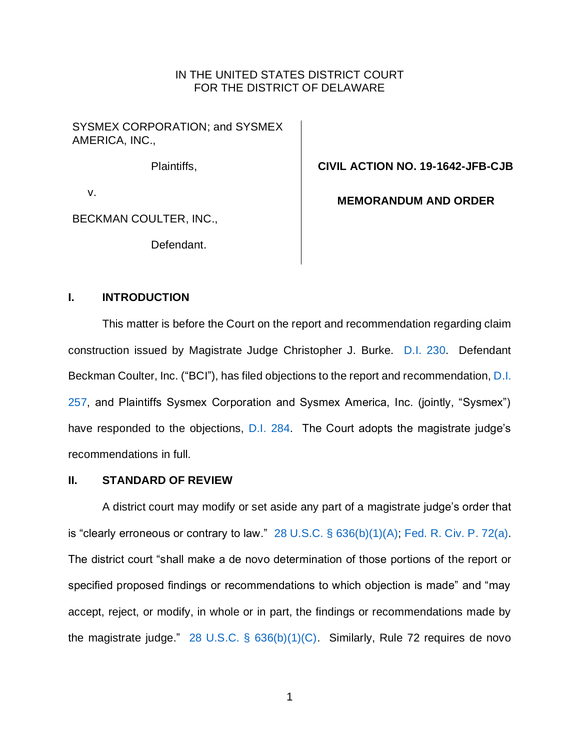# IN THE UNITED STATES DISTRICT COURT FOR THE DISTRICT OF DELAWARE

SYSMEX CORPORATION; and SYSMEX AMERICA, INC.,

Plaintiffs,

**CIVIL ACTION NO. 19-1642-JFB-CJB**

v.

BECKMAN COULTER, INC.,

Defendant.

# **MEMORANDUM AND ORDER**

# **I. INTRODUCTION**

This matter is before the Court on the report and recommendation regarding claim construction issued by Magistrate Judge Christopher J. Burke. [D.I. 230.](https://ecf.ded.uscourts.gov/doc1/04315175755) Defendant Beckman Coulter, Inc. ("BCI"), has filed objections to the report and recommendation, [D.I.](https://ecf.ded.uscourts.gov/doc1/04315206986)  [257,](https://ecf.ded.uscourts.gov/doc1/04315206986) and Plaintiffs Sysmex Corporation and Sysmex America, Inc. (jointly, "Sysmex") have responded to the objections, [D.I. 284.](https://ecf.ded.uscourts.gov/doc1/04305223267) The Court adopts the magistrate judge's recommendations in full.

## **II. STANDARD OF REVIEW**

A district court may modify or set aside any part of a magistrate judge's order that is "clearly erroneous or contrary to law." 28 U.S.C.  $\S$  636(b)(1)(A); [Fed. R. Civ. P. 72\(a\).](https://www.westlaw.com/Document/NC74C9100B96C11D8983DF34406B5929B/View/FullText.html?transitionType=Default&contextData=(sc.Default)&VR=3.0&RS=da3.0) The district court "shall make a de novo determination of those portions of the report or specified proposed findings or recommendations to which objection is made" and "may accept, reject, or modify, in whole or in part, the findings or recommendations made by the magistrate judge." 28 U.S.C.  $\S$  636(b)(1)(C). Similarly, Rule 72 requires de novo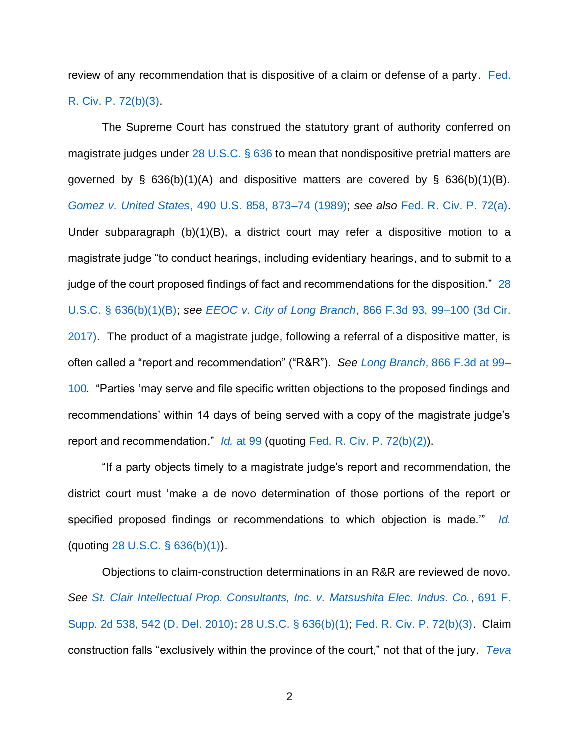review of any recommendation that is dispositive of a claim or defense of a party. [Fed.](https://www.westlaw.com/Document/NC74C9100B96C11D8983DF34406B5929B/View/FullText.html?transitionType=Default&contextData=(sc.Default)&VR=3.0&RS=da3.0)  [R. Civ. P. 72\(b\)\(3\).](https://www.westlaw.com/Document/NC74C9100B96C11D8983DF34406B5929B/View/FullText.html?transitionType=Default&contextData=(sc.Default)&VR=3.0&RS=da3.0)

The Supreme Court has construed the statutory grant of authority conferred on magistrate judges under [28 U.S.C. § 636](https://www.westlaw.com/Document/NE76D7C80E34E11DEA7C5EABE04182D4D/View/FullText.html?transitionType=Default&contextData=(sc.Default)&VR=3.0&RS=da3.0) to mean that nondispositive pretrial matters are governed by § 636(b)(1)(A) and dispositive matters are covered by § 636(b)(1)(B). *Gomez v. United States*[, 490 U.S. 858, 873–74 \(1989\);](https://www.westlaw.com/Document/Id4c18fe89c1d11d991d0cc6b54f12d4d/View/FullText.html?transitionType=Default&contextData=(sc.Default)&VR=3.0&RS=da3.0&fragmentIdentifier=co_pp_sp_780_873) *see also* [Fed. R. Civ. P. 72\(a\).](https://www.westlaw.com/Document/NC74C9100B96C11D8983DF34406B5929B/View/FullText.html?transitionType=Default&contextData=(sc.Default)&VR=3.0&RS=da3.0) Under subparagraph (b)(1)(B), a district court may refer a dispositive motion to a magistrate judge "to conduct hearings, including evidentiary hearings, and to submit to a judge of the court proposed findings of fact and recommendations for the disposition." [28](https://www.westlaw.com/Document/NE76D7C80E34E11DEA7C5EABE04182D4D/View/FullText.html?transitionType=Default&contextData=(sc.Default)&VR=3.0&RS=da3.0)  [U.S.C. § 636\(b\)\(1\)\(B\);](https://www.westlaw.com/Document/NE76D7C80E34E11DEA7C5EABE04182D4D/View/FullText.html?transitionType=Default&contextData=(sc.Default)&VR=3.0&RS=da3.0) *see EEOC v. City of Long Branch*[, 866 F.3d 93, 99–100 \(3d Cir.](https://www.westlaw.com/Document/I4950103077b111e7a3f3a229dca6c9c6/View/FullText.html?transitionType=Default&contextData=(sc.Default)&VR=3.0&RS=da3.0&fragmentIdentifier=co_pp_sp_506_99)  [2017\).](https://www.westlaw.com/Document/I4950103077b111e7a3f3a229dca6c9c6/View/FullText.html?transitionType=Default&contextData=(sc.Default)&VR=3.0&RS=da3.0&fragmentIdentifier=co_pp_sp_506_99) The product of a magistrate judge, following a referral of a dispositive matter, is often called a "report and recommendation" ("R&R"). *See Long Branch*[, 866 F.3d at 99–](https://www.westlaw.com/Document/I4950103077b111e7a3f3a229dca6c9c6/View/FullText.html?transitionType=Default&contextData=(sc.Default)&VR=3.0&RS=da3.0&fragmentIdentifier=co_pp_sp_506_99) [100](https://www.westlaw.com/Document/I4950103077b111e7a3f3a229dca6c9c6/View/FullText.html?transitionType=Default&contextData=(sc.Default)&VR=3.0&RS=da3.0&fragmentIdentifier=co_pp_sp_506_99)*.* "Parties 'may serve and file specific written objections to the proposed findings and recommendations' within 14 days of being served with a copy of the magistrate judge's report and recommendation." *Id.* [at 99](https://www.westlaw.com/Document/I4950103077b111e7a3f3a229dca6c9c6/View/FullText.html?transitionType=Default&contextData=(sc.Default)&VR=3.0&RS=da3.0&fragmentIdentifier=co_pp_sp_506_99) (quoting [Fed. R. Civ. P. 72\(b\)\(2\)\)](https://www.westlaw.com/Document/NC74C9100B96C11D8983DF34406B5929B/View/FullText.html?transitionType=Default&contextData=(sc.Default)&VR=3.0&RS=da3.0).

"If a party objects timely to a magistrate judge's report and recommendation, the district court must 'make a de novo determination of those portions of the report or specified proposed findings or recommendations to which objection is made.'" *[Id.](https://www.westlaw.com/Document/NC74C9100B96C11D8983DF34406B5929B/View/FullText.html?transitionType=Default&contextData=(sc.Default)&VR=3.0&RS=da3.0)* (quoting [28 U.S.C. § 636\(b\)\(1\)\)](https://www.westlaw.com/Document/NE76D7C80E34E11DEA7C5EABE04182D4D/View/FullText.html?transitionType=Default&contextData=(sc.Default)&VR=3.0&RS=da3.0).

Objections to claim-construction determinations in an R&R are reviewed de novo. *See [St. Clair Intellectual Prop. Consultants, Inc. v. Matsushita Elec. Indus. Co.](https://www.westlaw.com/Document/I0f0894b1253111df9988d233d23fe599/View/FullText.html?transitionType=Default&contextData=(sc.Default)&VR=3.0&RS=da3.0&fragmentIdentifier=co_pp_sp_4637_542)*, 691 F. [Supp. 2d 538, 542 \(D. Del. 2010\);](https://www.westlaw.com/Document/I0f0894b1253111df9988d233d23fe599/View/FullText.html?transitionType=Default&contextData=(sc.Default)&VR=3.0&RS=da3.0&fragmentIdentifier=co_pp_sp_4637_542) [28 U.S.C. § 636\(b\)\(1\);](https://www.westlaw.com/Document/NE76D7C80E34E11DEA7C5EABE04182D4D/View/FullText.html?transitionType=Default&contextData=(sc.Default)&VR=3.0&RS=da3.0) [Fed. R. Civ. P. 72\(b\)\(3\).](https://www.westlaw.com/Document/NC74C9100B96C11D8983DF34406B5929B/View/FullText.html?transitionType=Default&contextData=(sc.Default)&VR=3.0&RS=da3.0) Claim construction falls "exclusively within the province of the court," not that of the jury. *[Teva](https://www.westlaw.com/Document/I112387f2a08611e4a795ac035416da91/View/FullText.html?transitionType=Default&contextData=(sc.Default)&VR=3.0&RS=da3.0&fragmentIdentifier=co_pp_sp_708_837)*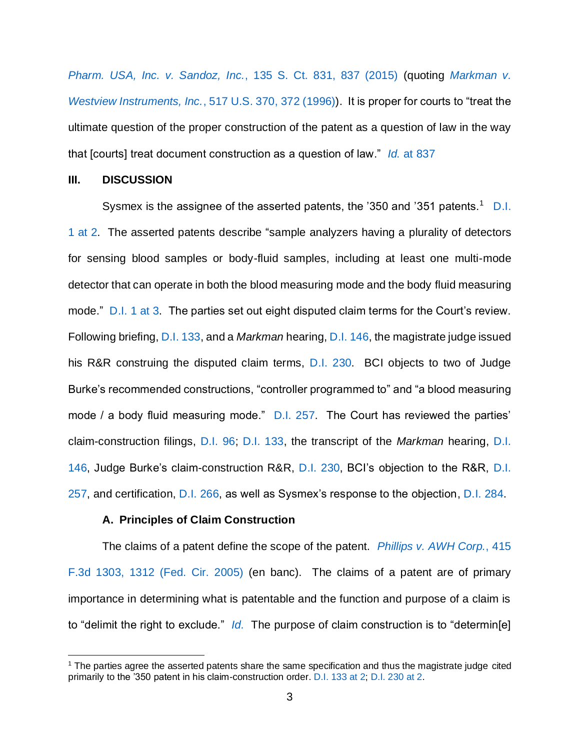*[Pharm. USA, Inc. v. Sandoz, Inc.](https://www.westlaw.com/Document/I112387f2a08611e4a795ac035416da91/View/FullText.html?transitionType=Default&contextData=(sc.Default)&VR=3.0&RS=da3.0&fragmentIdentifier=co_pp_sp_708_837)*, 135 S. Ct. 831, 837 (2015) (quoting *[Markman v.](https://www.westlaw.com/Document/I38ff27d39c4611d991d0cc6b54f12d4d/View/FullText.html?transitionType=Default&contextData=(sc.Default)&VR=3.0&RS=da3.0&fragmentIdentifier=co_pp_sp_780_372)  [Westview Instruments, Inc.](https://www.westlaw.com/Document/I38ff27d39c4611d991d0cc6b54f12d4d/View/FullText.html?transitionType=Default&contextData=(sc.Default)&VR=3.0&RS=da3.0&fragmentIdentifier=co_pp_sp_780_372)*, 517 U.S. 370, 372 (1996)). It is proper for courts to "treat the ultimate question of the proper construction of the patent as a question of law in the way that [courts] treat document construction as a question of law." *Id.* [at 837](https://www.westlaw.com/Document/I112387f2a08611e4a795ac035416da91/View/FullText.html?transitionType=Default&contextData=(sc.Default)&VR=3.0&RS=da3.0&fragmentIdentifier=co_pp_sp_708_837)

### **III. DISCUSSION**

Sysmex is the assignee of the asserted patents, the '350 and '351 patents.<sup>1</sup> D.I. [1 at 2.](https://ecf.ded.uscourts.gov/doc1/04304526353?page=2) The asserted patents describe "sample analyzers having a plurality of detectors for sensing blood samples or body-fluid samples, including at least one multi-mode detector that can operate in both the blood measuring mode and the body fluid measuring mode." [D.I. 1 at 3.](https://ecf.ded.uscourts.gov/doc1/04304526353?page=3) The parties set out eight disputed claim terms for the Court's review. Following briefing, [D.I. 133,](https://ecf.ded.uscourts.gov/doc1/04304979909) and a *Markman* hearing, [D.I. 146,](https://ecf.ded.uscourts.gov/doc1/04314998168) the magistrate judge issued his R&R construing the disputed claim terms, [D.I. 230.](https://ecf.ded.uscourts.gov/doc1/04315175755) BCI objects to two of Judge Burke's recommended constructions, "controller programmed to" and "a blood measuring mode / a body fluid measuring mode." [D.I. 257.](https://ecf.ded.uscourts.gov/doc1/04315206986) The Court has reviewed the parties' claim-construction filings, [D.I. 96;](https://ecf.ded.uscourts.gov/doc1/04314877902) [D.I. 133,](https://ecf.ded.uscourts.gov/doc1/04304979909) the transcript of the *Markman* hearing, [D.I.](https://ecf.ded.uscourts.gov/doc1/04314998168)  [146,](https://ecf.ded.uscourts.gov/doc1/04314998168) Judge Burke's claim-construction R&R, [D.I. 230,](https://ecf.ded.uscourts.gov/doc1/04315175755) BCI's objection to the R&R, [D.I.](https://ecf.ded.uscourts.gov/doc1/04315206986)  [257,](https://ecf.ded.uscourts.gov/doc1/04315206986) and certification, [D.I. 266,](https://ecf.ded.uscourts.gov/doc1/04315211726) as well as Sysmex's response to the objection, [D.I. 284.](https://ecf.ded.uscourts.gov/doc1/04305223267)

#### **A. Principles of Claim Construction**

The claims of a patent define the scope of the patent. *[Phillips v. AWH Corp.](https://www.westlaw.com/Document/Icab1f7b8f2df11d9bf60c1d57ebc853e/View/FullText.html?transitionType=Default&contextData=(sc.Default)&VR=3.0&RS=da3.0&fragmentIdentifier=co_pp_sp_506_1312)*, 415 [F.3d 1303, 1312 \(Fed. Cir. 2005\)](https://www.westlaw.com/Document/Icab1f7b8f2df11d9bf60c1d57ebc853e/View/FullText.html?transitionType=Default&contextData=(sc.Default)&VR=3.0&RS=da3.0&fragmentIdentifier=co_pp_sp_506_1312) (en banc). The claims of a patent are of primary importance in determining what is patentable and the function and purpose of a claim is to "delimit the right to exclude." *[Id.](https://www.westlaw.com/Document/Icab1f7b8f2df11d9bf60c1d57ebc853e/View/FullText.html?transitionType=Default&contextData=(sc.Default)&VR=3.0&RS=da3.0)* The purpose of claim construction is to "determin[e]

<sup>&</sup>lt;sup>1</sup> The parties agree the asserted patents share the same specification and thus the magistrate judge cited primarily to the '350 patent in his claim-construction order. [D.I. 133 at 2;](https://ecf.ded.uscourts.gov/doc1/04304979909?page=2) [D.I. 230 at 2.](https://ecf.ded.uscourts.gov/doc1/04315175755?page=2)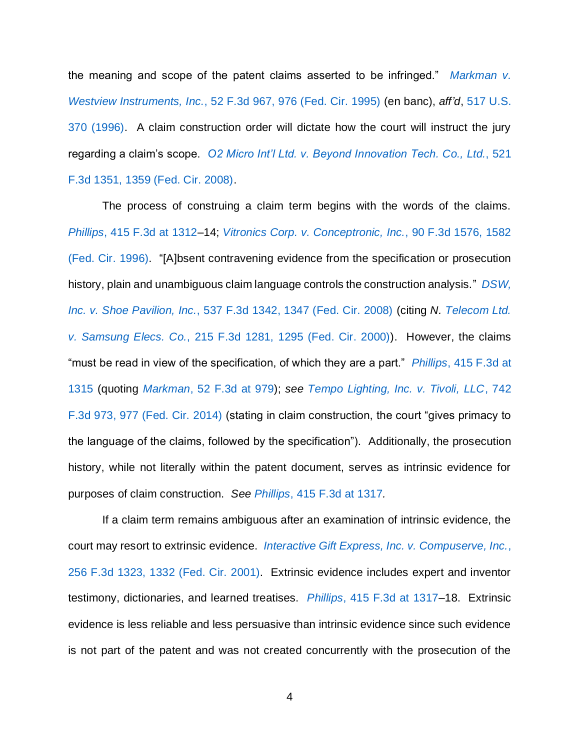the meaning and scope of the patent claims asserted to be infringed." *[Markman v.](https://www.westlaw.com/Document/I702aeb95918111d9bc61beebb95be672/View/FullText.html?transitionType=Default&contextData=(sc.Default)&VR=3.0&RS=da3.0&fragmentIdentifier=co_pp_sp_506_976)  Westview Instruments, Inc.*[, 52 F.3d 967, 976 \(Fed. Cir. 1995\)](https://www.westlaw.com/Document/I702aeb95918111d9bc61beebb95be672/View/FullText.html?transitionType=Default&contextData=(sc.Default)&VR=3.0&RS=da3.0&fragmentIdentifier=co_pp_sp_506_976) (en banc), *aff'd*, [517 U.S.](https://www.westlaw.com/Document/I38ff27d39c4611d991d0cc6b54f12d4d/View/FullText.html?transitionType=Default&contextData=(sc.Default)&VR=3.0&RS=da3.0)  [370 \(1996\).](https://www.westlaw.com/Document/I38ff27d39c4611d991d0cc6b54f12d4d/View/FullText.html?transitionType=Default&contextData=(sc.Default)&VR=3.0&RS=da3.0) A claim construction order will dictate how the court will instruct the jury regarding a claim's scope. *[O2 Micro Int'l Ltd. v. Beyond Innovation Tech.](https://www.westlaw.com/Document/I6ed9ce51018c11dda9c2f716e0c816ba/View/FullText.html?transitionType=Default&contextData=(sc.Default)&VR=3.0&RS=da3.0&fragmentIdentifier=co_pp_sp_506_1359) Co., Ltd.*, 521 [F.3d 1351, 1359 \(Fed. Cir. 2008\).](https://www.westlaw.com/Document/I6ed9ce51018c11dda9c2f716e0c816ba/View/FullText.html?transitionType=Default&contextData=(sc.Default)&VR=3.0&RS=da3.0&fragmentIdentifier=co_pp_sp_506_1359)

The process of construing a claim term begins with the words of the claims. *Phillips*[, 415 F.3d at 1312–](https://www.westlaw.com/Document/Icab1f7b8f2df11d9bf60c1d57ebc853e/View/FullText.html?transitionType=Default&contextData=(sc.Default)&VR=3.0&RS=da3.0&fragmentIdentifier=co_pp_sp_506_1312)14; *[Vitronics Corp. v. Conceptronic, Inc.](https://www.westlaw.com/Document/I6a48c346933a11d993e6d35cc61aab4a/View/FullText.html?transitionType=Default&contextData=(sc.Default)&VR=3.0&RS=da3.0&fragmentIdentifier=co_pp_sp_506_1582)*, 90 F.3d 1576, 1582 [\(Fed. Cir. 1996\).](https://www.westlaw.com/Document/I6a48c346933a11d993e6d35cc61aab4a/View/FullText.html?transitionType=Default&contextData=(sc.Default)&VR=3.0&RS=da3.0&fragmentIdentifier=co_pp_sp_506_1582) "[A]bsent contravening evidence from the specification or prosecution history, plain and unambiguous claim language controls the construction analysis." *[DSW,](https://www.westlaw.com/Document/Ie85049996e1411ddbc7bf97f340af743/View/FullText.html?transitionType=Default&contextData=(sc.Default)&VR=3.0&RS=da3.0&fragmentIdentifier=co_pp_sp_506_1347)  Inc. v. Shoe Pavilion, Inc.*[, 537 F.3d 1342, 1347 \(Fed. Cir. 2008\)](https://www.westlaw.com/Document/Ie85049996e1411ddbc7bf97f340af743/View/FullText.html?transitionType=Default&contextData=(sc.Default)&VR=3.0&RS=da3.0&fragmentIdentifier=co_pp_sp_506_1347) (citing *N. [Telecom Ltd.](https://www.westlaw.com/Document/If3ce1c51798611d9ac1ffa9f33b6c3b0/View/FullText.html?transitionType=Default&contextData=(sc.Default)&VR=3.0&RS=da3.0&fragmentIdentifier=co_pp_sp_506_1295)  v. Samsung Elecs. Co.*[, 215 F.3d 1281, 1295 \(Fed. Cir. 2000\)\)](https://www.westlaw.com/Document/If3ce1c51798611d9ac1ffa9f33b6c3b0/View/FullText.html?transitionType=Default&contextData=(sc.Default)&VR=3.0&RS=da3.0&fragmentIdentifier=co_pp_sp_506_1295). However, the claims "must be read in view of the specification, of which they are a part." *Phillips*[, 415 F.3d at](https://www.westlaw.com/Document/Icab1f7b8f2df11d9bf60c1d57ebc853e/View/FullText.html?transitionType=Default&contextData=(sc.Default)&VR=3.0&RS=da3.0&fragmentIdentifier=co_pp_sp_506_1315)  [1315](https://www.westlaw.com/Document/Icab1f7b8f2df11d9bf60c1d57ebc853e/View/FullText.html?transitionType=Default&contextData=(sc.Default)&VR=3.0&RS=da3.0&fragmentIdentifier=co_pp_sp_506_1315) (quoting *Markman*[, 52 F.3d at 979\)](https://www.westlaw.com/Document/I702aeb95918111d9bc61beebb95be672/View/FullText.html?transitionType=Default&contextData=(sc.Default)&VR=3.0&RS=da3.0&fragmentIdentifier=co_pp_sp_506_979); *see [Tempo Lighting, Inc. v. Tivoli, LLC](https://www.westlaw.com/Document/I8c1fa56c925011e39ac8bab74931929c/View/FullText.html?transitionType=Default&contextData=(sc.Default)&VR=3.0&RS=da3.0&fragmentIdentifier=co_pp_sp_506_977)*, 742 [F.3d 973, 977 \(Fed. Cir. 2014\)](https://www.westlaw.com/Document/I8c1fa56c925011e39ac8bab74931929c/View/FullText.html?transitionType=Default&contextData=(sc.Default)&VR=3.0&RS=da3.0&fragmentIdentifier=co_pp_sp_506_977) (stating in claim construction, the court "gives primacy to the language of the claims, followed by the specification"). Additionally, the prosecution history, while not literally within the patent document, serves as intrinsic evidence for purposes of claim construction. *See Phillips*[, 415 F.3d at 1317](https://www.westlaw.com/Document/Icab1f7b8f2df11d9bf60c1d57ebc853e/View/FullText.html?transitionType=Default&contextData=(sc.Default)&VR=3.0&RS=da3.0&fragmentIdentifier=co_pp_sp_506_1317)*.*

If a claim term remains ambiguous after an examination of intrinsic evidence, the court may resort to extrinsic evidence. *[Interactive Gift Express, Inc. v. Compuserve, Inc.](https://www.westlaw.com/Document/I6f0d05f179bb11d99c4dbb2f0352441d/View/FullText.html?transitionType=Default&contextData=(sc.Default)&VR=3.0&RS=da3.0&fragmentIdentifier=co_pp_sp_506_1332)*, [256 F.3d 1323, 1332](https://www.westlaw.com/Document/I6f0d05f179bb11d99c4dbb2f0352441d/View/FullText.html?transitionType=Default&contextData=(sc.Default)&VR=3.0&RS=da3.0&fragmentIdentifier=co_pp_sp_506_1332) (Fed. Cir. 2001). Extrinsic evidence includes expert and inventor testimony, dictionaries, and learned treatises. *Phillips*[, 415 F.3d at 1317–](https://www.westlaw.com/Document/Icab1f7b8f2df11d9bf60c1d57ebc853e/View/FullText.html?transitionType=Default&contextData=(sc.Default)&VR=3.0&RS=da3.0&fragmentIdentifier=co_pp_sp_506_1317)18. Extrinsic evidence is less reliable and less persuasive than intrinsic evidence since such evidence is not part of the patent and was not created concurrently with the prosecution of the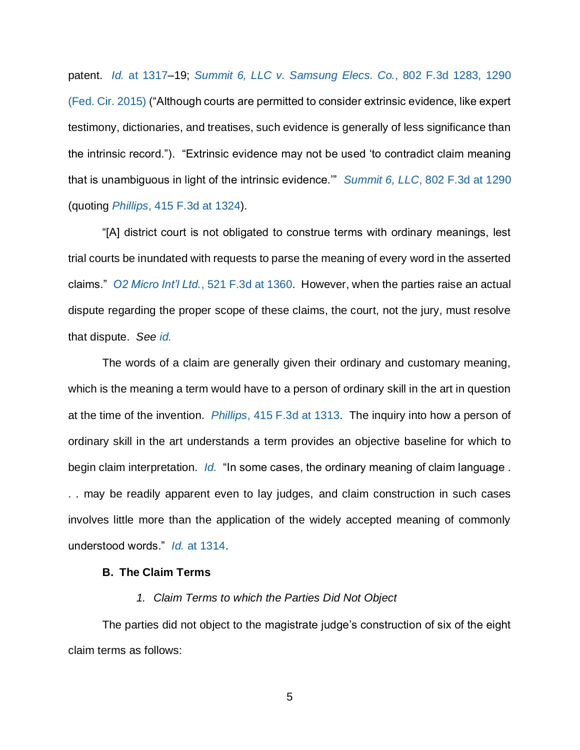patent. *Id.* [at 1317–](https://www.westlaw.com/Document/Icab1f7b8f2df11d9bf60c1d57ebc853e/View/FullText.html?transitionType=Default&contextData=(sc.Default)&VR=3.0&RS=da3.0&fragmentIdentifier=co_pp_sp_506_1317)19; *[Summit 6, LLC v. Samsung Elecs.](https://www.westlaw.com/Document/I78b3c4b6608d11e5b86bd602cb8781fa/View/FullText.html?transitionType=Default&contextData=(sc.Default)&VR=3.0&RS=da3.0&fragmentIdentifier=co_pp_sp_506_1290) Co.*, 802 F.3d 1283, 1290 [\(Fed. Cir. 2015\)](https://www.westlaw.com/Document/I78b3c4b6608d11e5b86bd602cb8781fa/View/FullText.html?transitionType=Default&contextData=(sc.Default)&VR=3.0&RS=da3.0&fragmentIdentifier=co_pp_sp_506_1290) ("Although courts are permitted to consider extrinsic evidence, like expert testimony, dictionaries, and treatises, such evidence is generally of less significance than the intrinsic record."). "Extrinsic evidence may not be used 'to contradict claim meaning that is unambiguous in light of the intrinsic evidence.'" *Summit 6, LLC*[, 802 F.3d at 1290](https://www.westlaw.com/Document/I78b3c4b6608d11e5b86bd602cb8781fa/View/FullText.html?transitionType=Default&contextData=(sc.Default)&VR=3.0&RS=da3.0&fragmentIdentifier=co_pp_sp_506_1290) (quoting *Phillips*[, 415 F.3d at 1324\)](https://www.westlaw.com/Document/Icab1f7b8f2df11d9bf60c1d57ebc853e/View/FullText.html?transitionType=Default&contextData=(sc.Default)&VR=3.0&RS=da3.0&fragmentIdentifier=co_pp_sp_506_1324).

"[A] district court is not obligated to construe terms with ordinary meanings, lest trial courts be inundated with requests to parse the meaning of every word in the asserted claims." *O2 Micro Int'l Ltd.*[, 521 F.3d at 1360.](https://www.westlaw.com/Document/I6ed9ce51018c11dda9c2f716e0c816ba/View/FullText.html?transitionType=Default&contextData=(sc.Default)&VR=3.0&RS=da3.0&fragmentIdentifier=co_pp_sp_506_1360) However, when the parties raise an actual dispute regarding the proper scope of these claims, the court, not the jury, must resolve that dispute. *See [id.](https://www.westlaw.com/Document/I6ed9ce51018c11dda9c2f716e0c816ba/View/FullText.html?transitionType=Default&contextData=(sc.Default)&VR=3.0&RS=da3.0)*

The words of a claim are generally given their ordinary and customary meaning, which is the meaning a term would have to a person of ordinary skill in the art in question at the time of the invention. *Phillips*[, 415 F.3d at 1313.](https://www.westlaw.com/Document/Icab1f7b8f2df11d9bf60c1d57ebc853e/View/FullText.html?transitionType=Default&contextData=(sc.Default)&VR=3.0&RS=da3.0&fragmentIdentifier=co_pp_sp_506_1313) The inquiry into how a person of ordinary skill in the art understands a term provides an objective baseline for which to begin claim interpretation. *[Id.](https://www.westlaw.com/Document/Icab1f7b8f2df11d9bf60c1d57ebc853e/View/FullText.html?transitionType=Default&contextData=(sc.Default)&VR=3.0&RS=da3.0)* "In some cases, the ordinary meaning of claim language . . . may be readily apparent even to lay judges, and claim construction in such cases involves little more than the application of the widely accepted meaning of commonly understood words." *Id.* [at 1314.](https://www.westlaw.com/Document/Icab1f7b8f2df11d9bf60c1d57ebc853e/View/FullText.html?transitionType=Default&contextData=(sc.Default)&VR=3.0&RS=da3.0&fragmentIdentifier=co_pp_sp_506_1314)

### **B. The Claim Terms**

#### *1. Claim Terms to which the Parties Did Not Object*

The parties did not object to the magistrate judge's construction of six of the eight claim terms as follows: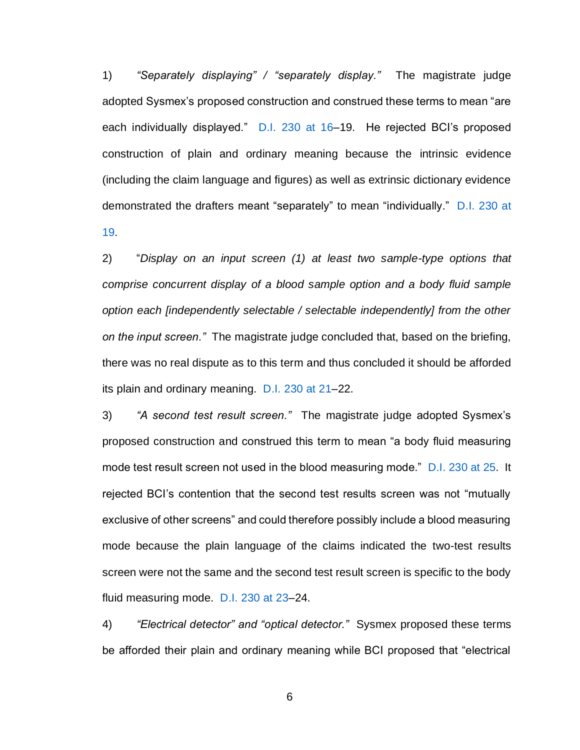1) *"Separately displaying" / "separately display."* The magistrate judge adopted Sysmex's proposed construction and construed these terms to mean "are each individually displayed." [D.I. 230 at 16–](https://ecf.ded.uscourts.gov/doc1/04315175755?page=16)19. He rejected BCI's proposed construction of plain and ordinary meaning because the intrinsic evidence (including the claim language and figures) as well as extrinsic dictionary evidence demonstrated the drafters meant "separately" to mean "individually." [D.I. 230 at](https://ecf.ded.uscourts.gov/doc1/04315175755?page=19)  [19.](https://ecf.ded.uscourts.gov/doc1/04315175755?page=19)

2) "*Display on an input screen (1) at least two sample-type options that comprise concurrent display of a blood sample option and a body fluid sample option each [independently selectable / selectable independently] from the other on the input screen."* The magistrate judge concluded that, based on the briefing, there was no real dispute as to this term and thus concluded it should be afforded its plain and ordinary meaning. [D.I. 230 at 21–](https://ecf.ded.uscourts.gov/doc1/04315175755?page=21)22.

3) *"A second test result screen."* The magistrate judge adopted Sysmex's proposed construction and construed this term to mean "a body fluid measuring mode test result screen not used in the blood measuring mode." [D.I. 230 at 25.](https://ecf.ded.uscourts.gov/doc1/04315175755?page=25) It rejected BCI's contention that the second test results screen was not "mutually exclusive of other screens" and could therefore possibly include a blood measuring mode because the plain language of the claims indicated the two-test results screen were not the same and the second test result screen is specific to the body fluid measuring mode. [D.I. 230 at 23–](https://ecf.ded.uscourts.gov/doc1/04315175755?page=23)24.

4) *"Electrical detector" and "optical detector."* Sysmex proposed these terms be afforded their plain and ordinary meaning while BCI proposed that "electrical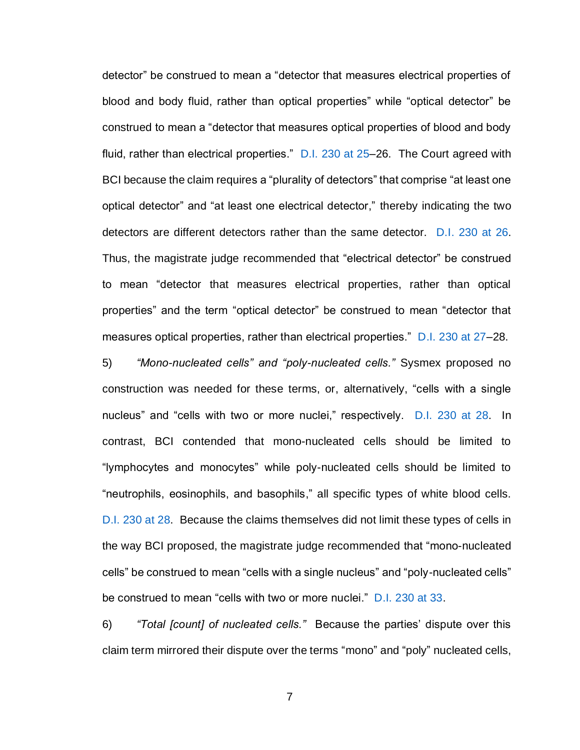detector" be construed to mean a "detector that measures electrical properties of blood and body fluid, rather than optical properties" while "optical detector" be construed to mean a "detector that measures optical properties of blood and body fluid, rather than electrical properties." [D.I. 230 at 25–](https://ecf.ded.uscourts.gov/doc1/04315175755?page=25)26. The Court agreed with BCI because the claim requires a "plurality of detectors" that comprise "at least one optical detector" and "at least one electrical detector," thereby indicating the two detectors are different detectors rather than the same detector. [D.I. 230 at 26.](https://ecf.ded.uscourts.gov/doc1/04315175755?page=26) Thus, the magistrate judge recommended that "electrical detector" be construed to mean "detector that measures electrical properties, rather than optical properties" and the term "optical detector" be construed to mean "detector that measures optical properties, rather than electrical properties." [D.I. 230 at 27–](https://ecf.ded.uscourts.gov/doc1/04315175755?page=27)28.

5) *"Mono-nucleated cells" and "poly-nucleated cells."* Sysmex proposed no construction was needed for these terms, or, alternatively, "cells with a single nucleus" and "cells with two or more nuclei," respectively. [D.I. 230 at 28.](https://ecf.ded.uscourts.gov/doc1/04315175755?page=28) In contrast, BCI contended that mono-nucleated cells should be limited to "lymphocytes and monocytes" while poly-nucleated cells should be limited to "neutrophils, eosinophils, and basophils," all specific types of white blood cells. [D.I. 230 at 28.](https://ecf.ded.uscourts.gov/doc1/04315175755?page=28) Because the claims themselves did not limit these types of cells in the way BCI proposed, the magistrate judge recommended that "mono-nucleated cells" be construed to mean "cells with a single nucleus" and "poly-nucleated cells" be construed to mean "cells with two or more nuclei." [D.I. 230 at 33.](https://ecf.ded.uscourts.gov/doc1/04315175755?page=33)

6) *"Total [count] of nucleated cells."* Because the parties' dispute over this claim term mirrored their dispute over the terms "mono" and "poly" nucleated cells,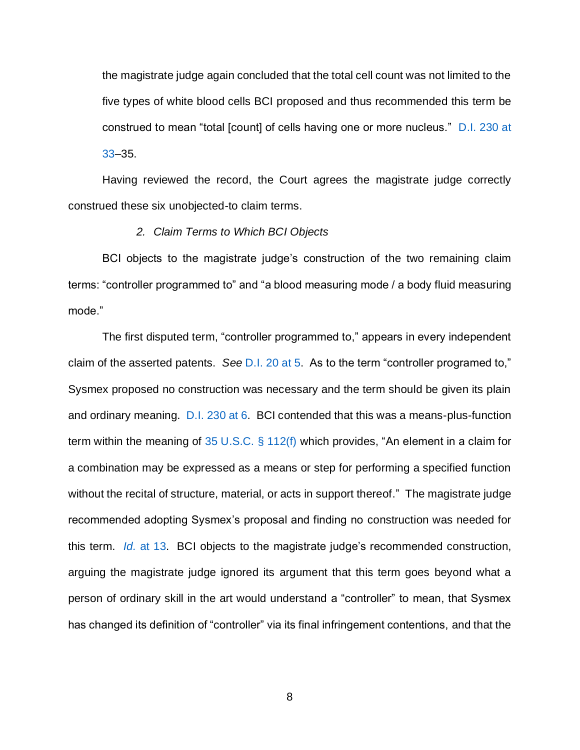the magistrate judge again concluded that the total cell count was not limited to the five types of white blood cells BCI proposed and thus recommended this term be construed to mean "total [count] of cells having one or more nucleus." [D.I. 230 at](https://ecf.ded.uscourts.gov/doc1/04315175755?page=33)  [33–](https://ecf.ded.uscourts.gov/doc1/04315175755?page=33)35.

Having reviewed the record, the Court agrees the magistrate judge correctly construed these six unobjected-to claim terms.

### *2. Claim Terms to Which BCI Objects*

BCI objects to the magistrate judge's construction of the two remaining claim terms: "controller programmed to" and "a blood measuring mode / a body fluid measuring mode."

The first disputed term, "controller programmed to," appears in every independent claim of the asserted patents. *See* [D.I. 20 at 5.](https://ecf.ded.uscourts.gov/doc1/04304670169?page=5) As to the term "controller programed to," Sysmex proposed no construction was necessary and the term should be given its plain and ordinary meaning. [D.I. 230 at 6.](https://ecf.ded.uscourts.gov/doc1/04315175755?page=6) BCI contended that this was a means-plus-function term within the meaning of [35 U.S.C. § 112\(f\)](https://www.westlaw.com/Document/NDFCE2540E26C11E1980BB7181640365D/View/FullText.html?transitionType=Default&contextData=(sc.Default)&VR=3.0&RS=da3.0) which provides, "An element in a claim for a combination may be expressed as a means or step for performing a specified function without the recital of structure, material, or acts in support thereof." The magistrate judge recommended adopting Sysmex's proposal and finding no construction was needed for this term. *Id.* [at 13.](https://ecf.ded.uscourts.gov/doc1/04315175755?page=13) BCI objects to the magistrate judge's recommended construction, arguing the magistrate judge ignored its argument that this term goes beyond what a person of ordinary skill in the art would understand a "controller" to mean, that Sysmex has changed its definition of "controller" via its final infringement contentions, and that the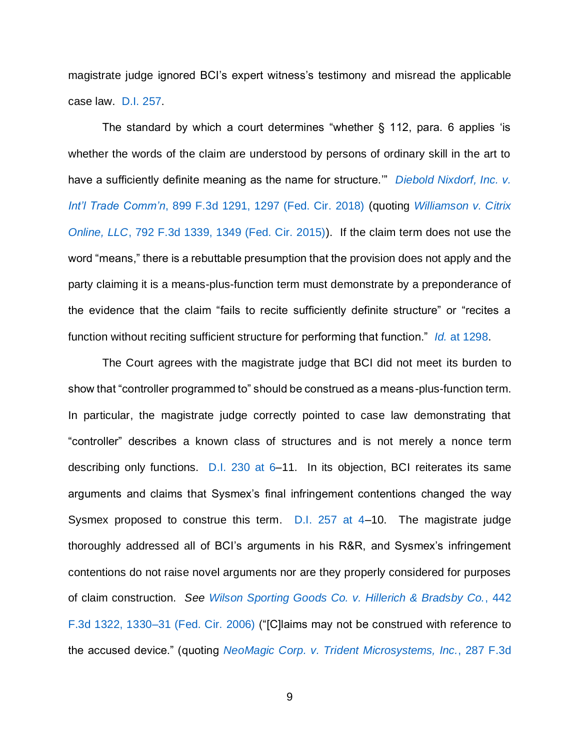magistrate judge ignored BCI's expert witness's testimony and misread the applicable case law. [D.I. 257.](https://ecf.ded.uscourts.gov/doc1/04315206986)

The standard by which a court determines "whether § 112, para. 6 applies 'is whether the words of the claim are understood by persons of ordinary skill in the art to have a sufficiently definite meaning as the name for structure.'" *[Diebold Nixdorf, Inc. v.](https://www.westlaw.com/Document/I24908860a0a511e89fc9c0a8a8f09d21/View/FullText.html?transitionType=Default&contextData=(sc.Default)&VR=3.0&RS=da3.0&fragmentIdentifier=co_pp_sp_506_1297)  Int'l Trade Comm'n*[, 899 F.3d 1291, 1297 \(Fed. Cir. 2018\)](https://www.westlaw.com/Document/I24908860a0a511e89fc9c0a8a8f09d21/View/FullText.html?transitionType=Default&contextData=(sc.Default)&VR=3.0&RS=da3.0&fragmentIdentifier=co_pp_sp_506_1297) (quoting *[Williamson v. Citrix](https://www.westlaw.com/Document/I1db16d69140f11e5b4bafa136b480ad2/View/FullText.html?transitionType=Default&contextData=(sc.Default)&VR=3.0&RS=da3.0&fragmentIdentifier=co_pp_sp_506_1349)  Online, LLC*[, 792 F.3d 1339, 1349 \(Fed. Cir. 2015\)\)](https://www.westlaw.com/Document/I1db16d69140f11e5b4bafa136b480ad2/View/FullText.html?transitionType=Default&contextData=(sc.Default)&VR=3.0&RS=da3.0&fragmentIdentifier=co_pp_sp_506_1349). If the claim term does not use the word "means," there is a rebuttable presumption that the provision does not apply and the party claiming it is a means-plus-function term must demonstrate by a preponderance of the evidence that the claim "fails to recite sufficiently definite structure" or "recites a function without reciting sufficient structure for performing that function." *Id.* [at 1298.](https://www.westlaw.com/Document/I24908860a0a511e89fc9c0a8a8f09d21/View/FullText.html?transitionType=Default&contextData=(sc.Default)&VR=3.0&RS=da3.0&fragmentIdentifier=co_pp_sp_506_1298)

The Court agrees with the magistrate judge that BCI did not meet its burden to show that "controller programmed to" should be construed as a means-plus-function term. In particular, the magistrate judge correctly pointed to case law demonstrating that "controller" describes a known class of structures and is not merely a nonce term describing only functions. [D.I. 230 at 6–](https://ecf.ded.uscourts.gov/doc1/04315175755?page=6)11. In its objection, BCI reiterates its same arguments and claims that Sysmex's final infringement contentions changed the way Sysmex proposed to construe this term. [D.I. 257 at 4–](https://ecf.ded.uscourts.gov/doc1/04315206986?page=4)10. The magistrate judge thoroughly addressed all of BCI's arguments in his R&R, and Sysmex's infringement contentions do not raise novel arguments nor are they properly considered for purposes of claim construction. *See [Wilson Sporting Goods Co. v. Hillerich & Bradsby Co.](https://www.westlaw.com/Document/Iec7a9594ba6911da8cccb4c14e983401/View/FullText.html?transitionType=Default&contextData=(sc.Default)&VR=3.0&RS=da3.0&fragmentIdentifier=co_pp_sp_506_1330)*, 442 [F.3d 1322, 1330–31 \(Fed. Cir. 2006\)](https://www.westlaw.com/Document/Iec7a9594ba6911da8cccb4c14e983401/View/FullText.html?transitionType=Default&contextData=(sc.Default)&VR=3.0&RS=da3.0&fragmentIdentifier=co_pp_sp_506_1330) ("[C]laims may not be construed with reference to the accused device." (quoting *[NeoMagic Corp. v. Trident Microsystems, Inc.](https://www.westlaw.com/Document/I9d01d17279d411d9ac1ffa9f33b6c3b0/View/FullText.html?transitionType=Default&contextData=(sc.Default)&VR=3.0&RS=da3.0&fragmentIdentifier=co_pp_sp_506_1074)*, 287 F.3d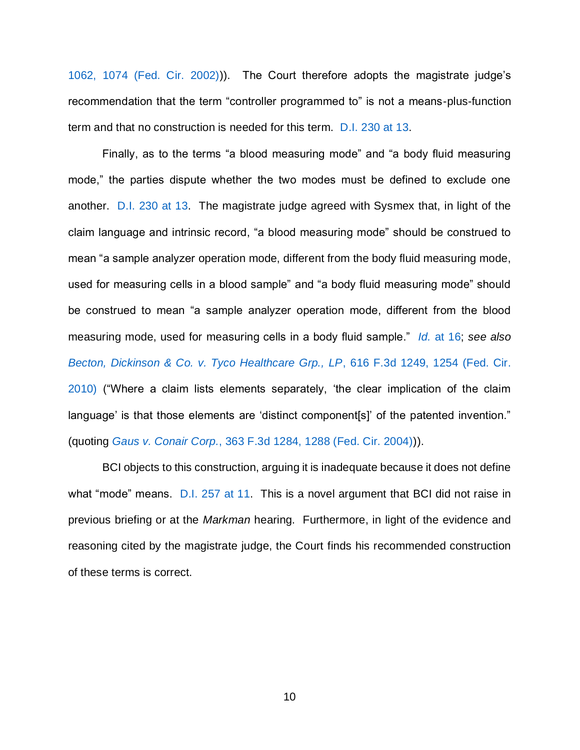[1062, 1074 \(Fed. Cir. 2002\)\)](https://www.westlaw.com/Document/I9d01d17279d411d9ac1ffa9f33b6c3b0/View/FullText.html?transitionType=Default&contextData=(sc.Default)&VR=3.0&RS=da3.0&fragmentIdentifier=co_pp_sp_506_1074)). The Court therefore adopts the magistrate judge's recommendation that the term "controller programmed to" is not a means-plus-function term and that no construction is needed for this term. [D.I. 230 at 13.](https://ecf.ded.uscourts.gov/doc1/04315175755?page=13)

Finally, as to the terms "a blood measuring mode" and "a body fluid measuring mode," the parties dispute whether the two modes must be defined to exclude one another. [D.I. 230 at 13.](https://ecf.ded.uscourts.gov/doc1/04315175755?page=13) The magistrate judge agreed with Sysmex that, in light of the claim language and intrinsic record, "a blood measuring mode" should be construed to mean "a sample analyzer operation mode, different from the body fluid measuring mode, used for measuring cells in a blood sample" and "a body fluid measuring mode" should be construed to mean "a sample analyzer operation mode, different from the blood measuring mode, used for measuring cells in a body fluid sample." *Id.* [at 16;](https://ecf.ded.uscourts.gov/doc1/04315175755?page=16) *see also [Becton, Dickinson & Co. v. Tyco Healthcare Grp., LP](https://www.westlaw.com/Document/I2ead86419bc911df9d41aa3fcf7bbc6d/View/FullText.html?transitionType=Default&contextData=(sc.Default)&VR=3.0&RS=da3.0&fragmentIdentifier=co_pp_sp_506_1254)*, 616 F.3d 1249, 1254 (Fed. Cir. [2010\)](https://www.westlaw.com/Document/I2ead86419bc911df9d41aa3fcf7bbc6d/View/FullText.html?transitionType=Default&contextData=(sc.Default)&VR=3.0&RS=da3.0&fragmentIdentifier=co_pp_sp_506_1254) ("Where a claim lists elements separately, 'the clear implication of the claim language' is that those elements are 'distinct component[s]' of the patented invention." (quoting *Gaus v. Conair Corp.*[, 363 F.3d 1284, 1288 \(Fed. Cir. 2004\)\)](https://www.westlaw.com/Document/I6abf186689fd11d9ac45f46c5ea084a3/View/FullText.html?transitionType=Default&contextData=(sc.Default)&VR=3.0&RS=da3.0&fragmentIdentifier=co_pp_sp_506_1288)).

BCI objects to this construction, arguing it is inadequate because it does not define what "mode" means. [D.I. 257 at 11.](https://ecf.ded.uscourts.gov/doc1/04315206986?page=11) This is a novel argument that BCI did not raise in previous briefing or at the *Markman* hearing. Furthermore, in light of the evidence and reasoning cited by the magistrate judge, the Court finds his recommended construction of these terms is correct.